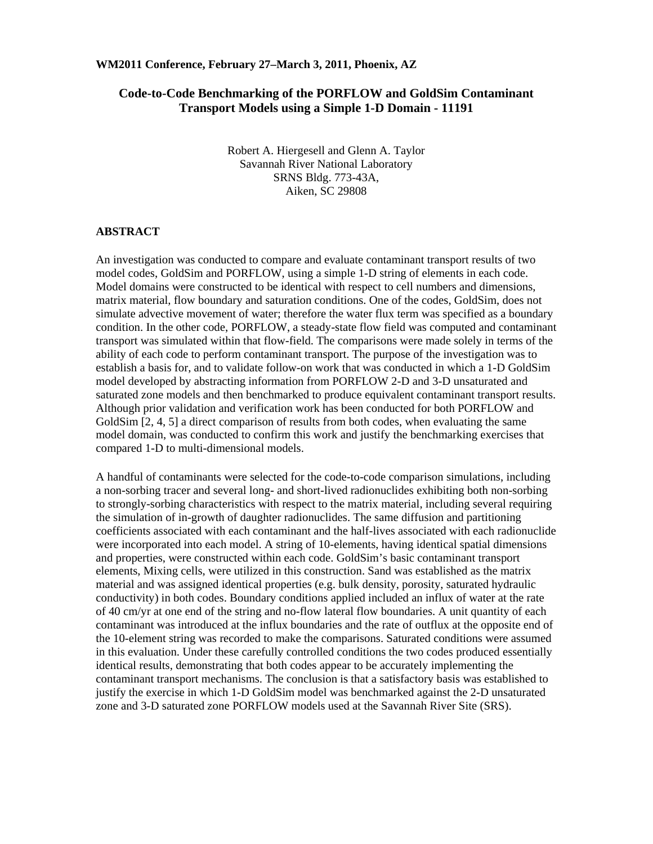## **Code-to-Code Benchmarking of the PORFLOW and GoldSim Contaminant Transport Models using a Simple 1-D Domain - 11191**

Robert A. Hiergesell and Glenn A. Taylor Savannah River National Laboratory SRNS Bldg. 773-43A, Aiken, SC 29808

#### **ABSTRACT**

An investigation was conducted to compare and evaluate contaminant transport results of two model codes, GoldSim and PORFLOW, using a simple 1-D string of elements in each code. Model domains were constructed to be identical with respect to cell numbers and dimensions, matrix material, flow boundary and saturation conditions. One of the codes, GoldSim, does not simulate advective movement of water; therefore the water flux term was specified as a boundary condition. In the other code, PORFLOW, a steady-state flow field was computed and contaminant transport was simulated within that flow-field. The comparisons were made solely in terms of the ability of each code to perform contaminant transport. The purpose of the investigation was to establish a basis for, and to validate follow-on work that was conducted in which a 1-D GoldSim model developed by abstracting information from PORFLOW 2-D and 3-D unsaturated and saturated zone models and then benchmarked to produce equivalent contaminant transport results. Although prior validation and verification work has been conducted for both PORFLOW and GoldSim [2, 4, 5] a direct comparison of results from both codes, when evaluating the same model domain, was conducted to confirm this work and justify the benchmarking exercises that compared 1-D to multi-dimensional models.

A handful of contaminants were selected for the code-to-code comparison simulations, including a non-sorbing tracer and several long- and short-lived radionuclides exhibiting both non-sorbing to strongly-sorbing characteristics with respect to the matrix material, including several requiring the simulation of in-growth of daughter radionuclides. The same diffusion and partitioning coefficients associated with each contaminant and the half-lives associated with each radionuclide were incorporated into each model. A string of 10-elements, having identical spatial dimensions and properties, were constructed within each code. GoldSim's basic contaminant transport elements, Mixing cells, were utilized in this construction. Sand was established as the matrix material and was assigned identical properties (e.g. bulk density, porosity, saturated hydraulic conductivity) in both codes. Boundary conditions applied included an influx of water at the rate of 40 cm/yr at one end of the string and no-flow lateral flow boundaries. A unit quantity of each contaminant was introduced at the influx boundaries and the rate of outflux at the opposite end of the 10-element string was recorded to make the comparisons. Saturated conditions were assumed in this evaluation. Under these carefully controlled conditions the two codes produced essentially identical results, demonstrating that both codes appear to be accurately implementing the contaminant transport mechanisms. The conclusion is that a satisfactory basis was established to justify the exercise in which 1-D GoldSim model was benchmarked against the 2-D unsaturated zone and 3-D saturated zone PORFLOW models used at the Savannah River Site (SRS).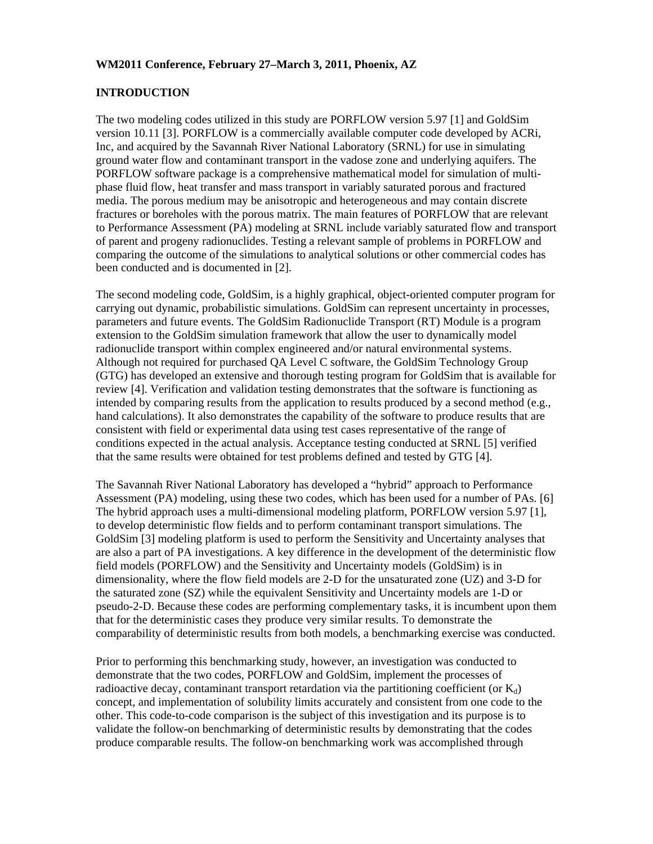#### **INTRODUCTION**

The two modeling codes utilized in this study are PORFLOW version 5.97 [1] and GoldSim version 10.11 [3]. PORFLOW is a commercially available computer code developed by ACRi, Inc, and acquired by the Savannah River National Laboratory (SRNL) for use in simulating ground water flow and contaminant transport in the vadose zone and underlying aquifers. The PORFLOW software package is a comprehensive mathematical model for simulation of multiphase fluid flow, heat transfer and mass transport in variably saturated porous and fractured media. The porous medium may be anisotropic and heterogeneous and may contain discrete fractures or boreholes with the porous matrix. The main features of PORFLOW that are relevant to Performance Assessment (PA) modeling at SRNL include variably saturated flow and transport of parent and progeny radionuclides. Testing a relevant sample of problems in PORFLOW and comparing the outcome of the simulations to analytical solutions or other commercial codes has been conducted and is documented in [2].

The second modeling code, GoldSim, is a highly graphical, object-oriented computer program for carrying out dynamic, probabilistic simulations. GoldSim can represent uncertainty in processes, parameters and future events. The GoldSim Radionuclide Transport (RT) Module is a program extension to the GoldSim simulation framework that allow the user to dynamically model radionuclide transport within complex engineered and/or natural environmental systems. Although not required for purchased QA Level C software, the GoldSim Technology Group (GTG) has developed an extensive and thorough testing program for GoldSim that is available for review [4]. Verification and validation testing demonstrates that the software is functioning as intended by comparing results from the application to results produced by a second method (e.g., hand calculations). It also demonstrates the capability of the software to produce results that are consistent with field or experimental data using test cases representative of the range of conditions expected in the actual analysis. Acceptance testing conducted at SRNL [5] verified that the same results were obtained for test problems defined and tested by GTG [4].

The Savannah River National Laboratory has developed a "hybrid" approach to Performance Assessment (PA) modeling, using these two codes, which has been used for a number of PAs. [6] The hybrid approach uses a multi-dimensional modeling platform, PORFLOW version 5.97 [1], to develop deterministic flow fields and to perform contaminant transport simulations. The GoldSim [3] modeling platform is used to perform the Sensitivity and Uncertainty analyses that are also a part of PA investigations. A key difference in the development of the deterministic flow field models (PORFLOW) and the Sensitivity and Uncertainty models (GoldSim) is in dimensionality, where the flow field models are 2-D for the unsaturated zone (UZ) and 3-D for the saturated zone (SZ) while the equivalent Sensitivity and Uncertainty models are 1-D or pseudo-2-D. Because these codes are performing complementary tasks, it is incumbent upon them that for the deterministic cases they produce very similar results. To demonstrate the comparability of deterministic results from both models, a benchmarking exercise was conducted.

Prior to performing this benchmarking study, however, an investigation was conducted to demonstrate that the two codes, PORFLOW and GoldSim, implement the processes of radioactive decay, contaminant transport retardation via the partitioning coefficient (or  $K_d$ ) concept, and implementation of solubility limits accurately and consistent from one code to the other. This code-to-code comparison is the subject of this investigation and its purpose is to validate the follow-on benchmarking of deterministic results by demonstrating that the codes produce comparable results. The follow-on benchmarking work was accomplished through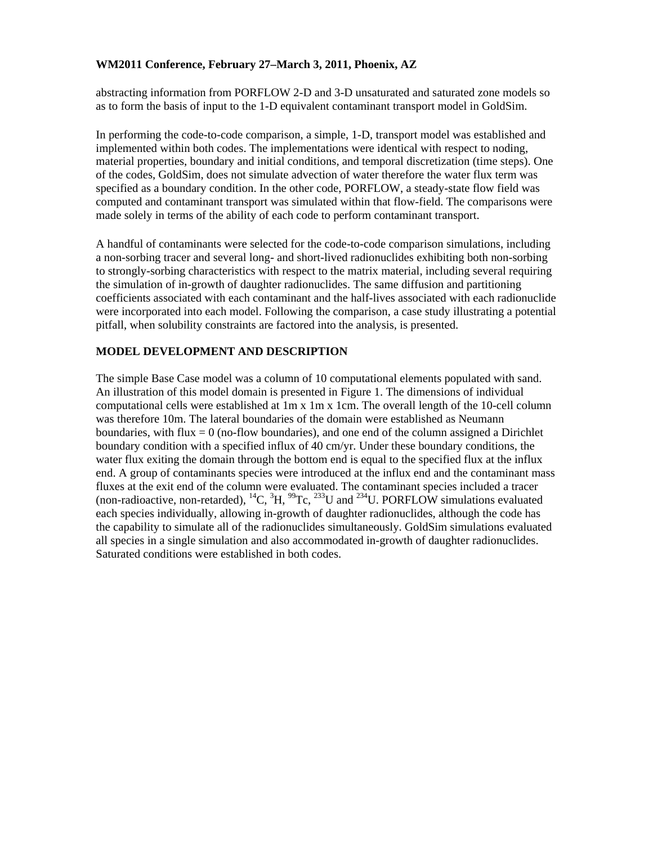abstracting information from PORFLOW 2-D and 3-D unsaturated and saturated zone models so as to form the basis of input to the 1-D equivalent contaminant transport model in GoldSim.

In performing the code-to-code comparison, a simple, 1-D, transport model was established and implemented within both codes. The implementations were identical with respect to noding, material properties, boundary and initial conditions, and temporal discretization (time steps). One of the codes, GoldSim, does not simulate advection of water therefore the water flux term was specified as a boundary condition. In the other code, PORFLOW, a steady-state flow field was computed and contaminant transport was simulated within that flow-field. The comparisons were made solely in terms of the ability of each code to perform contaminant transport.

A handful of contaminants were selected for the code-to-code comparison simulations, including a non-sorbing tracer and several long- and short-lived radionuclides exhibiting both non-sorbing to strongly-sorbing characteristics with respect to the matrix material, including several requiring the simulation of in-growth of daughter radionuclides. The same diffusion and partitioning coefficients associated with each contaminant and the half-lives associated with each radionuclide were incorporated into each model. Following the comparison, a case study illustrating a potential pitfall, when solubility constraints are factored into the analysis, is presented.

### **MODEL DEVELOPMENT AND DESCRIPTION**

The simple Base Case model was a column of 10 computational elements populated with sand. An illustration of this model domain is presented in Figure 1. The dimensions of individual computational cells were established at 1m x 1m x 1cm. The overall length of the 10-cell column was therefore 10m. The lateral boundaries of the domain were established as Neumann boundaries, with flux  $= 0$  (no-flow boundaries), and one end of the column assigned a Dirichlet boundary condition with a specified influx of 40 cm/yr. Under these boundary conditions, the water flux exiting the domain through the bottom end is equal to the specified flux at the influx end. A group of contaminants species were introduced at the influx end and the contaminant mass fluxes at the exit end of the column were evaluated. The contaminant species included a tracer (non-radioactive, non-retarded),  ${}^{14}C$ ,  ${}^{3}H$ ,  ${}^{99}Te$ ,  ${}^{233}U$  and  ${}^{234}U$ . PORFLOW simulations evaluated each species individually, allowing in-growth of daughter radionuclides, although the code has the capability to simulate all of the radionuclides simultaneously. GoldSim simulations evaluated all species in a single simulation and also accommodated in-growth of daughter radionuclides. Saturated conditions were established in both codes.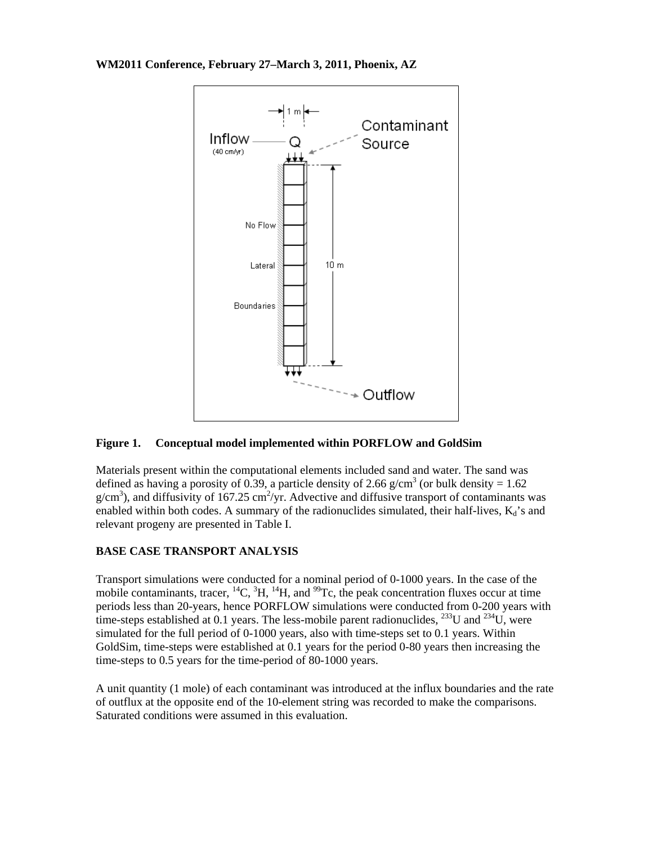



### **Figure 1. Conceptual model implemented within PORFLOW and GoldSim**

Materials present within the computational elements included sand and water. The sand was defined as having a porosity of 0.39, a particle density of 2.66 g/cm<sup>3</sup> (or bulk density = 1.62)  $g/cm<sup>3</sup>$ ), and diffusivity of 167.25 cm<sup>2</sup>/yr. Advective and diffusive transport of contaminants was enabled within both codes. A summary of the radionuclides simulated, their half-lives,  $K_d$ 's and relevant progeny are presented in Table I.

## **BASE CASE TRANSPORT ANALYSIS**

Transport simulations were conducted for a nominal period of 0-1000 years. In the case of the mobile contaminants, tracer,  ${}^{14}C$ ,  ${}^{3}H$ ,  ${}^{14}H$ , and  ${}^{99}Te$ , the peak concentration fluxes occur at time periods less than 20-years, hence PORFLOW simulations were conducted from 0-200 years with time-steps established at 0.1 years. The less-mobile parent radionuclides,  $^{233}$ U and  $^{234}$ U, were simulated for the full period of 0-1000 years, also with time-steps set to 0.1 years. Within GoldSim, time-steps were established at 0.1 years for the period 0-80 years then increasing the time-steps to 0.5 years for the time-period of 80-1000 years.

A unit quantity (1 mole) of each contaminant was introduced at the influx boundaries and the rate of outflux at the opposite end of the 10-element string was recorded to make the comparisons. Saturated conditions were assumed in this evaluation.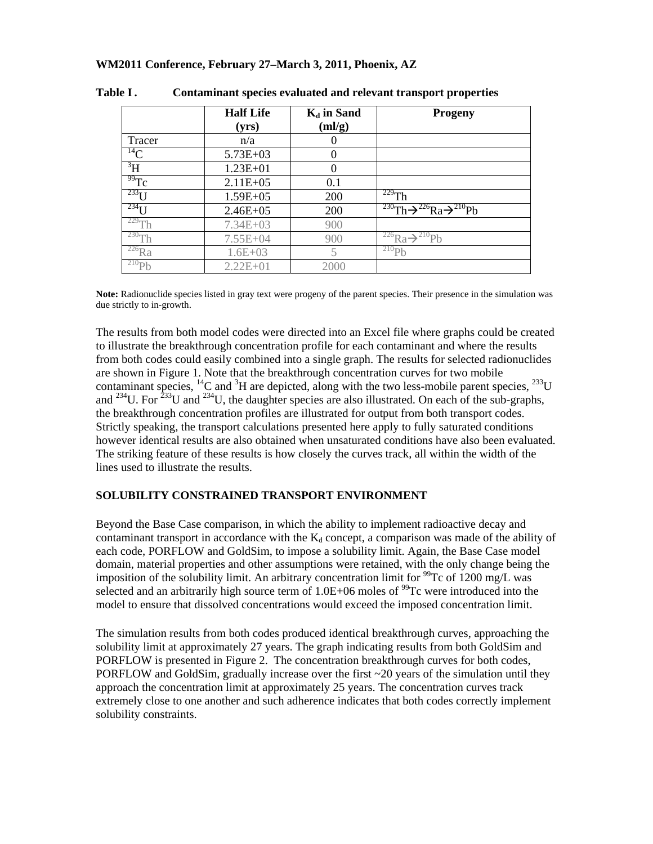|                   | <b>Half Life</b><br>(yrs) | $K_d$ in Sand<br>(ml/g) | Progeny                                                         |
|-------------------|---------------------------|-------------------------|-----------------------------------------------------------------|
| Tracer            | n/a                       |                         |                                                                 |
| $^{14}$ C         | $5.73E + 03$              |                         |                                                                 |
| $\rm{^{3}H}$      | $1.23E + 01$              |                         |                                                                 |
| $\overline{99}Tc$ | $2.11E + 05$              | 0.1                     |                                                                 |
| $^{233}$ T T      | $1.59E + 05$              | 200                     | $\frac{229}{h}$ Th                                              |
| $^{234}$ U        | $2.46E + 05$              | 200                     | $^{230}$ Th $\rightarrow$ $^{226}$ Ra $\rightarrow$ $^{210}$ Pb |
| $229$ Th          | $7.34E + 03$              | 900                     |                                                                 |
| $230$ Th          | $7.55E + 04$              | 900                     | <sup>226</sup> Ra $\rightarrow$ <sup>210</sup> Pb               |
| $226$ Ra          | $1.6E + 03$               |                         | $^{210}Pb$                                                      |
| $^{210}Pb$        | $2.22E + 01$              | 2000                    |                                                                 |

| Table I . |  |  |  | Contaminant species evaluated and relevant transport properties |
|-----------|--|--|--|-----------------------------------------------------------------|
|-----------|--|--|--|-----------------------------------------------------------------|

**Note:** Radionuclide species listed in gray text were progeny of the parent species. Their presence in the simulation was due strictly to in-growth.

The results from both model codes were directed into an Excel file where graphs could be created to illustrate the breakthrough concentration profile for each contaminant and where the results from both codes could easily combined into a single graph. The results for selected radionuclides are shown in Figure 1. Note that the breakthrough concentration curves for two mobile contaminant species,  ${}^{14}C$  and  ${}^{3}H$  are depicted, along with the two less-mobile parent species,  ${}^{233}U$ and  $^{234}$ U. For  $^{233}$ U and  $^{234}$ U, the daughter species are also illustrated. On each of the sub-graphs, the breakthrough concentration profiles are illustrated for output from both transport codes. Strictly speaking, the transport calculations presented here apply to fully saturated conditions however identical results are also obtained when unsaturated conditions have also been evaluated. The striking feature of these results is how closely the curves track, all within the width of the lines used to illustrate the results.

### **SOLUBILITY CONSTRAINED TRANSPORT ENVIRONMENT**

Beyond the Base Case comparison, in which the ability to implement radioactive decay and contaminant transport in accordance with the  $K_d$  concept, a comparison was made of the ability of each code, PORFLOW and GoldSim, to impose a solubility limit. Again, the Base Case model domain, material properties and other assumptions were retained, with the only change being the imposition of the solubility limit. An arbitrary concentration limit for  $\frac{99}{2}$ C of 1200 mg/L was selected and an arbitrarily high source term of  $1.0E+06$  moles of <sup>99</sup>Tc were introduced into the model to ensure that dissolved concentrations would exceed the imposed concentration limit.

The simulation results from both codes produced identical breakthrough curves, approaching the solubility limit at approximately 27 years. The graph indicating results from both GoldSim and PORFLOW is presented in Figure 2. The concentration breakthrough curves for both codes, PORFLOW and GoldSim, gradually increase over the first  $\sim$  20 years of the simulation until they approach the concentration limit at approximately 25 years. The concentration curves track extremely close to one another and such adherence indicates that both codes correctly implement solubility constraints.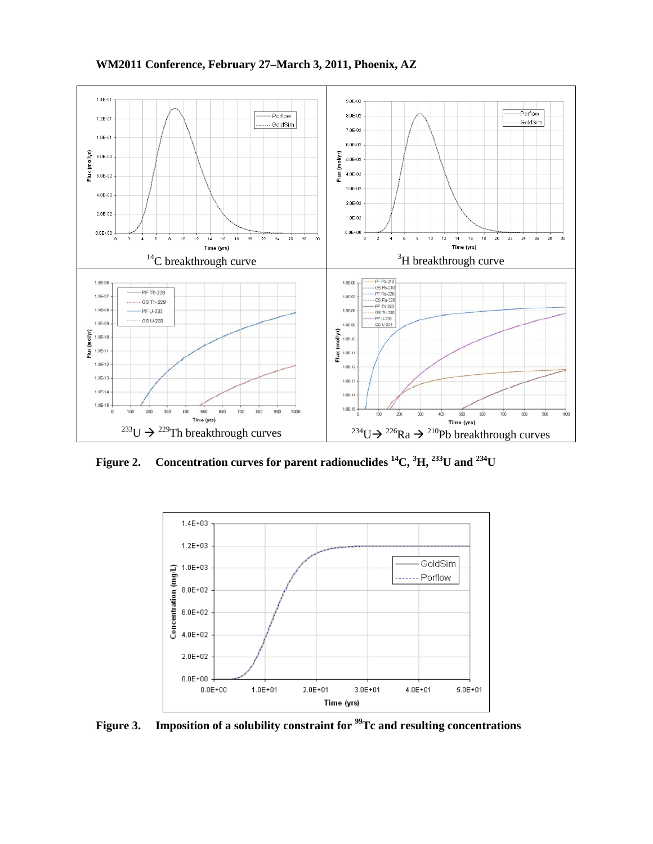



**Figure 2. Concentration curves for parent radionuclides 14C, 3 H, 233U and 234U** 



Figure 3. Imposition of a solubility constraint for <sup>99</sup>Tc and resulting concentrations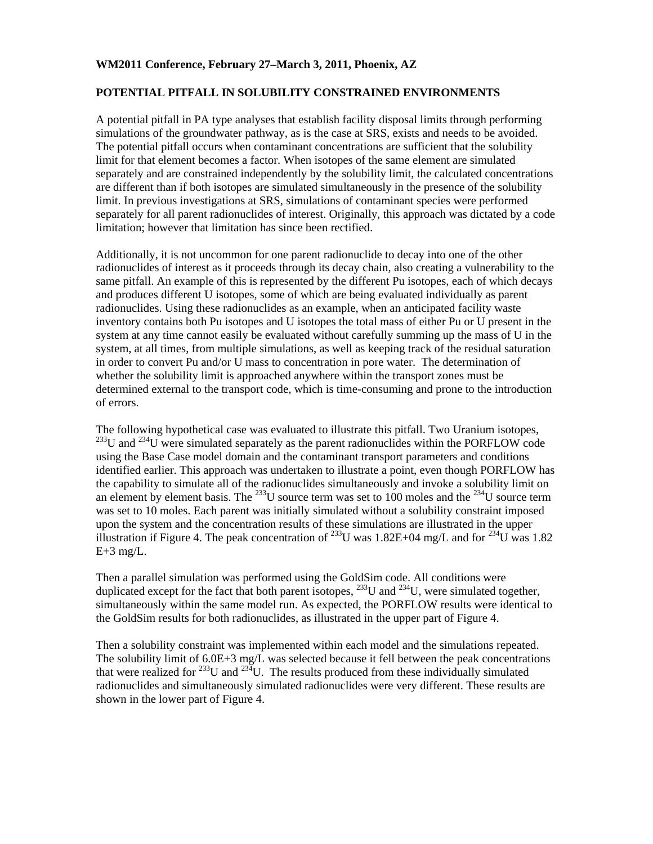#### **POTENTIAL PITFALL IN SOLUBILITY CONSTRAINED ENVIRONMENTS**

A potential pitfall in PA type analyses that establish facility disposal limits through performing simulations of the groundwater pathway, as is the case at SRS, exists and needs to be avoided. The potential pitfall occurs when contaminant concentrations are sufficient that the solubility limit for that element becomes a factor. When isotopes of the same element are simulated separately and are constrained independently by the solubility limit, the calculated concentrations are different than if both isotopes are simulated simultaneously in the presence of the solubility limit. In previous investigations at SRS, simulations of contaminant species were performed separately for all parent radionuclides of interest. Originally, this approach was dictated by a code limitation; however that limitation has since been rectified.

Additionally, it is not uncommon for one parent radionuclide to decay into one of the other radionuclides of interest as it proceeds through its decay chain, also creating a vulnerability to the same pitfall. An example of this is represented by the different Pu isotopes, each of which decays and produces different U isotopes, some of which are being evaluated individually as parent radionuclides. Using these radionuclides as an example, when an anticipated facility waste inventory contains both Pu isotopes and U isotopes the total mass of either Pu or U present in the system at any time cannot easily be evaluated without carefully summing up the mass of U in the system, at all times, from multiple simulations, as well as keeping track of the residual saturation in order to convert Pu and/or U mass to concentration in pore water. The determination of whether the solubility limit is approached anywhere within the transport zones must be determined external to the transport code, which is time-consuming and prone to the introduction of errors.

The following hypothetical case was evaluated to illustrate this pitfall. Two Uranium isotopes,  $^{233}$ U and  $^{234}$ U were simulated separately as the parent radionuclides within the PORFLOW code using the Base Case model domain and the contaminant transport parameters and conditions identified earlier. This approach was undertaken to illustrate a point, even though PORFLOW has the capability to simulate all of the radionuclides simultaneously and invoke a solubility limit on an element by element basis. The  $^{233}U$  source term was set to 100 moles and the  $^{234}U$  source term was set to 10 moles. Each parent was initially simulated without a solubility constraint imposed upon the system and the concentration results of these simulations are illustrated in the upper illustration if Figure 4. The peak concentration of <sup>233</sup>U was 1.82E+04 mg/L and for <sup>234</sup>U was 1.82  $E+3$  mg/L.

Then a parallel simulation was performed using the GoldSim code. All conditions were duplicated except for the fact that both parent isotopes,  $^{233}$ U and  $^{234}$ U, were simulated together, simultaneously within the same model run. As expected, the PORFLOW results were identical to the GoldSim results for both radionuclides, as illustrated in the upper part of Figure 4.

Then a solubility constraint was implemented within each model and the simulations repeated. The solubility limit of  $6.0E+3$  mg/L was selected because it fell between the peak concentrations that were realized for  $^{233}$ U and  $^{234}$ U. The results produced from these individually simulated radionuclides and simultaneously simulated radionuclides were very different. These results are shown in the lower part of Figure 4.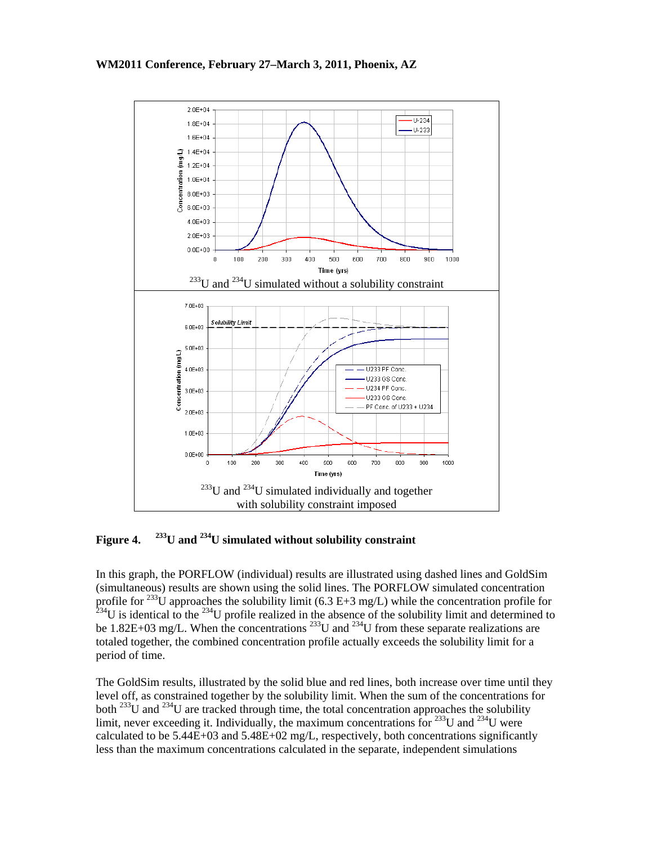

**Figure 4. 233U and 234U simulated without solubility constraint** 

In this graph, the PORFLOW (individual) results are illustrated using dashed lines and GoldSim (simultaneous) results are shown using the solid lines. The PORFLOW simulated concentration profile for <sup>233</sup>U approaches the solubility limit (6.3 E+3 mg/L) while the concentration profile for  $^{234}$ U is identical to the  $^{234}$ U profile realized in the absence of the solubility limit and determined to be 1.82E+03 mg/L. When the concentrations  $^{233}$ U and  $^{234}$ U from these separate realizations are totaled together, the combined concentration profile actually exceeds the solubility limit for a period of time.

The GoldSim results, illustrated by the solid blue and red lines, both increase over time until they level off, as constrained together by the solubility limit. When the sum of the concentrations for both  $^{233}$ U and  $^{234}$ U are tracked through time, the total concentration approaches the solubility limit, never exceeding it. Individually, the maximum concentrations for  $^{233}$ U and  $^{234}$ U were calculated to be  $5.44E+03$  and  $5.48E+02$  mg/L, respectively, both concentrations significantly less than the maximum concentrations calculated in the separate, independent simulations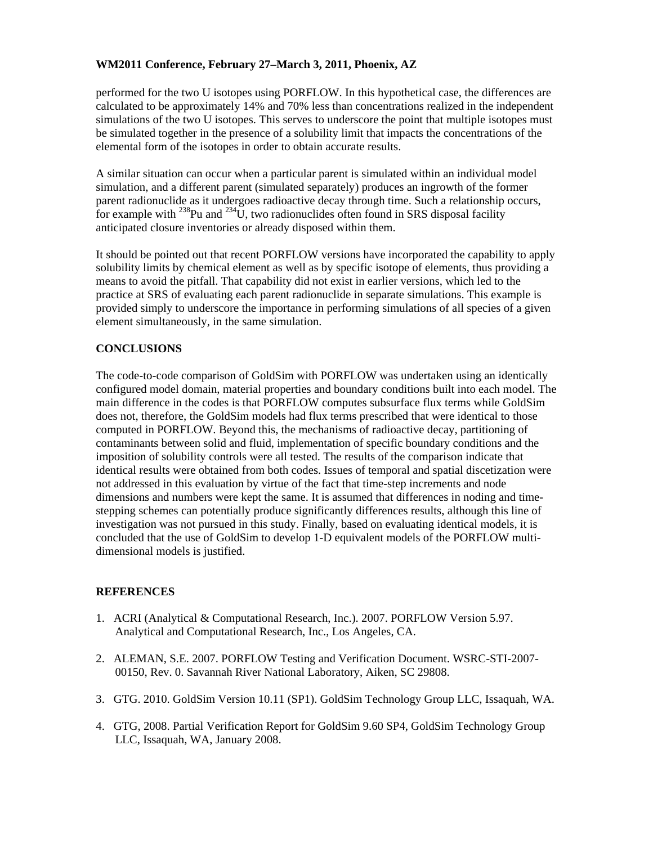performed for the two U isotopes using PORFLOW. In this hypothetical case, the differences are calculated to be approximately 14% and 70% less than concentrations realized in the independent simulations of the two U isotopes. This serves to underscore the point that multiple isotopes must be simulated together in the presence of a solubility limit that impacts the concentrations of the elemental form of the isotopes in order to obtain accurate results.

A similar situation can occur when a particular parent is simulated within an individual model simulation, and a different parent (simulated separately) produces an ingrowth of the former parent radionuclide as it undergoes radioactive decay through time. Such a relationship occurs, for example with  $^{238}$ Pu and  $^{234}$ U, two radionuclides often found in SRS disposal facility anticipated closure inventories or already disposed within them.

It should be pointed out that recent PORFLOW versions have incorporated the capability to apply solubility limits by chemical element as well as by specific isotope of elements, thus providing a means to avoid the pitfall. That capability did not exist in earlier versions, which led to the practice at SRS of evaluating each parent radionuclide in separate simulations. This example is provided simply to underscore the importance in performing simulations of all species of a given element simultaneously, in the same simulation.

## **CONCLUSIONS**

The code-to-code comparison of GoldSim with PORFLOW was undertaken using an identically configured model domain, material properties and boundary conditions built into each model. The main difference in the codes is that PORFLOW computes subsurface flux terms while GoldSim does not, therefore, the GoldSim models had flux terms prescribed that were identical to those computed in PORFLOW. Beyond this, the mechanisms of radioactive decay, partitioning of contaminants between solid and fluid, implementation of specific boundary conditions and the imposition of solubility controls were all tested. The results of the comparison indicate that identical results were obtained from both codes. Issues of temporal and spatial discetization were not addressed in this evaluation by virtue of the fact that time-step increments and node dimensions and numbers were kept the same. It is assumed that differences in noding and timestepping schemes can potentially produce significantly differences results, although this line of investigation was not pursued in this study. Finally, based on evaluating identical models, it is concluded that the use of GoldSim to develop 1-D equivalent models of the PORFLOW multidimensional models is justified.

## **REFERENCES**

- 1. ACRI (Analytical & Computational Research, Inc.). 2007. PORFLOW Version 5.97. Analytical and Computational Research, Inc., Los Angeles, CA.
- 2. ALEMAN, S.E. 2007. PORFLOW Testing and Verification Document. WSRC-STI-2007- 00150, Rev. 0. Savannah River National Laboratory, Aiken, SC 29808.
- 3. GTG. 2010. GoldSim Version 10.11 (SP1). GoldSim Technology Group LLC, Issaquah, WA.
- 4. GTG, 2008. Partial Verification Report for GoldSim 9.60 SP4, GoldSim Technology Group LLC, Issaquah, WA, January 2008.